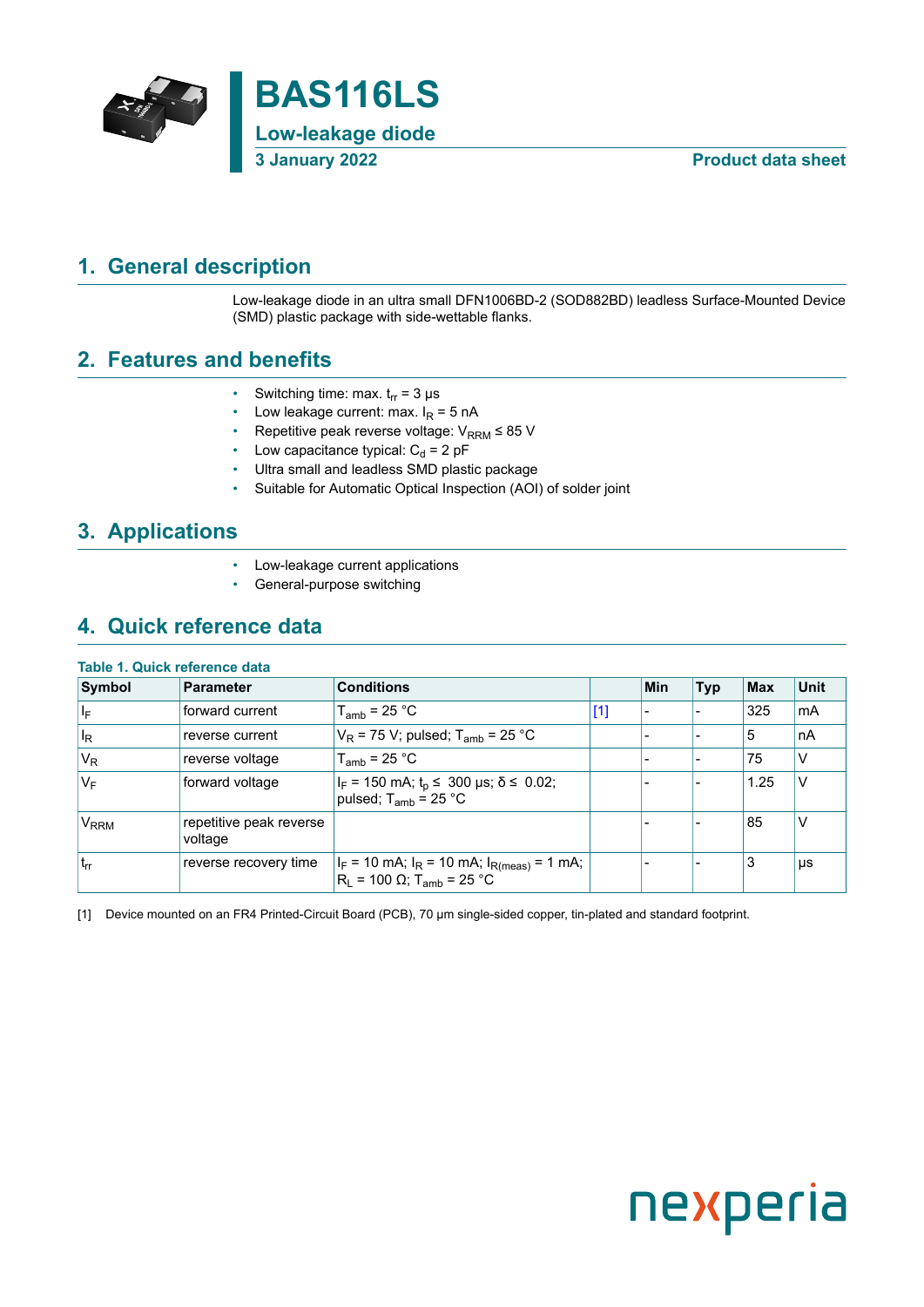

#### <span id="page-0-1"></span>**1. General description**

<span id="page-0-0"></span>Low-leakage diode in an ultra small DFN1006BD-2 (SOD882BD) leadless Surface-Mounted Device (SMD) plastic package with side-wettable flanks.

#### <span id="page-0-2"></span>**2. Features and benefits**

- Switching time: max.  $t_{rr}$  = 3 µs
- Low leakage current: max.  $I_R = 5$  nA
- Repetitive peak reverse voltage:  $V_{\text{RRM}} \leq 85$  V
- Low capacitance typical:  $C_d = 2 pF$
- Ultra small and leadless SMD plastic package
- Suitable for Automatic Optical Inspection (AOI) of solder joint

#### <span id="page-0-3"></span>**3. Applications**

- Low-leakage current applications
- General-purpose switching

#### <span id="page-0-4"></span>**4. Quick reference data**

|                        | Table 1. Quick reference data      |                                                                                                   |       |     |            |            |             |
|------------------------|------------------------------------|---------------------------------------------------------------------------------------------------|-------|-----|------------|------------|-------------|
| Symbol                 | Parameter                          | <b>Conditions</b>                                                                                 |       | Min | <b>Typ</b> | <b>Max</b> | <b>Unit</b> |
| l <sub>F</sub>         | forward current                    | $T_{amb}$ = 25 °C                                                                                 | $[1]$ |     |            | 325        | mA          |
| $\vert$ <sub>R</sub>   | reverse current                    | $V_R$ = 75 V; pulsed; $T_{amb}$ = 25 °C                                                           |       |     |            | 5          | nA          |
| $V_R$                  | reverse voltage                    | $T_{amb}$ = 25 °C                                                                                 |       |     |            | 75         | ν           |
| $V_F$                  | forward voltage                    | $ I_F = 150 \text{ mA}; t_p \le 300 \text{ \mu s}; \delta \le 0.02;$<br>pulsed; $T_{amb}$ = 25 °C |       |     |            | 1.25       | V           |
| <b>V<sub>RRM</sub></b> | repetitive peak reverse<br>voltage |                                                                                                   |       |     |            | 85         | V           |
| $ t_{rr} $             | reverse recovery time              | $ I_F = 10$ mA; $I_R = 10$ mA; $I_{R(meas)} = 1$ mA;<br>$R_L = 100$ Ω; T <sub>amb</sub> = 25 °C   |       |     |            | 3          | $\mu s$     |

[1] Device mounted on an FR4 Printed-Circuit Board (PCB), 70 µm single-sided copper, tin-plated and standard footprint.

# nexperia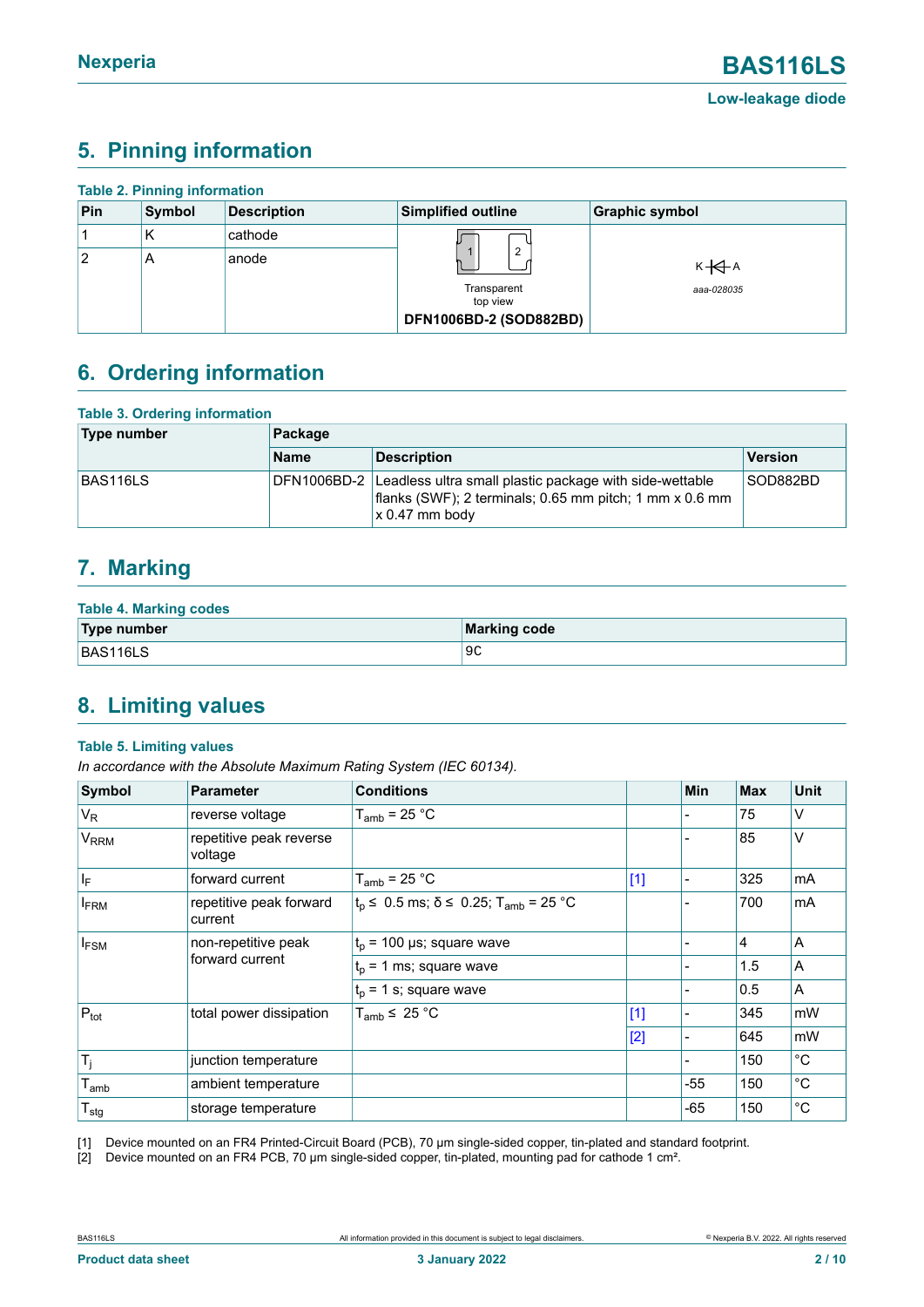### <span id="page-1-1"></span><span id="page-1-0"></span>**5. Pinning information**

| <b>Table 2. Pinning information</b> |        |                    |                           |                       |  |  |  |  |
|-------------------------------------|--------|--------------------|---------------------------|-----------------------|--|--|--|--|
| Pin                                 | Symbol | <b>Description</b> | <b>Simplified outline</b> | <b>Graphic symbol</b> |  |  |  |  |
|                                     | К      | cathode            |                           |                       |  |  |  |  |
| $\overline{2}$                      | A      | anode              | $\overline{2}$            | $K + A$               |  |  |  |  |
|                                     |        |                    | Transparent<br>top view   | aaa-028035            |  |  |  |  |
|                                     |        |                    | DFN1006BD-2 (SOD882BD)    |                       |  |  |  |  |

### <span id="page-1-2"></span>**6. Ordering information**

| <b>Table 3. Ordering information</b> |             |                                                                                                                                                               |                |  |  |  |
|--------------------------------------|-------------|---------------------------------------------------------------------------------------------------------------------------------------------------------------|----------------|--|--|--|
| Type number                          | Package     |                                                                                                                                                               |                |  |  |  |
|                                      | <b>Name</b> | <b>Description</b>                                                                                                                                            | <b>Version</b> |  |  |  |
| BAS116LS                             |             | DFN1006BD-2 Leadless ultra small plastic package with side-wettable<br>flanks (SWF); 2 terminals; 0.65 mm pitch; 1 mm x 0.6 mm<br>$\vert x\vert 0.47$ mm body | SOD882BD       |  |  |  |

#### <span id="page-1-3"></span>**7. Marking**

| <b>Table 4. Marking codes</b> |                     |  |  |  |  |
|-------------------------------|---------------------|--|--|--|--|
| Type number                   | <b>Marking code</b> |  |  |  |  |
| BAS116LS                      | 9 <sup>C</sup>      |  |  |  |  |

#### <span id="page-1-4"></span>**8. Limiting values**

#### **Table 5. Limiting values**

*In accordance with the Absolute Maximum Rating System (IEC 60134).*

| Symbol                      | <b>Parameter</b>                       | <b>Conditions</b>                                  |       | <b>Min</b> | <b>Max</b> | <b>Unit</b> |
|-----------------------------|----------------------------------------|----------------------------------------------------|-------|------------|------------|-------------|
| $V_R$                       | reverse voltage                        | $T_{amb}$ = 25 °C                                  |       |            | 75         | ٧           |
| <b>V<sub>RRM</sub></b>      | repetitive peak reverse<br>voltage     |                                                    |       |            | 85         | V           |
| $ I_F $                     | forward current                        | $T_{amb}$ = 25 °C                                  | $[1]$ |            | 325        | mA          |
| <b>FRM</b>                  | repetitive peak forward<br>current     | $t_0$ ≤ 0.5 ms; δ ≤ 0.25; T <sub>amb</sub> = 25 °C |       |            | 700        | mA          |
| <b>IFSM</b>                 | non-repetitive peak<br>forward current | $t_p$ = 100 µs; square wave                        |       |            | 14         | l A         |
|                             |                                        | $t_0$ = 1 ms; square wave                          |       |            | 1.5        | Α           |
|                             |                                        | $t_{p}$ = 1 s; square wave                         |       |            | 0.5        | A           |
| $P_{\text{tot}}$            | total power dissipation                | $T_{amb}$ $\leq$ 25 °C                             | $[1]$ |            | 345        | mW          |
|                             |                                        |                                                    | [2]   |            | 645        | mW          |
| $T_j$                       | junction temperature                   |                                                    |       |            | 150        | $^{\circ}C$ |
| $\mathsf{T}_{\mathsf{amb}}$ | ambient temperature                    |                                                    |       | -55        | 150        | $^{\circ}C$ |
| ${\mathsf T}_{\text{stg}}$  | storage temperature                    |                                                    |       | -65        | 150        | $^{\circ}C$ |

[1] Device mounted on an FR4 Printed-Circuit Board (PCB), 70 µm single-sided copper, tin-plated and standard footprint.

[2] Device mounted on an FR4 PCB, 70 µm single-sided copper, tin-plated, mounting pad for cathode 1 cm<sup>2</sup>.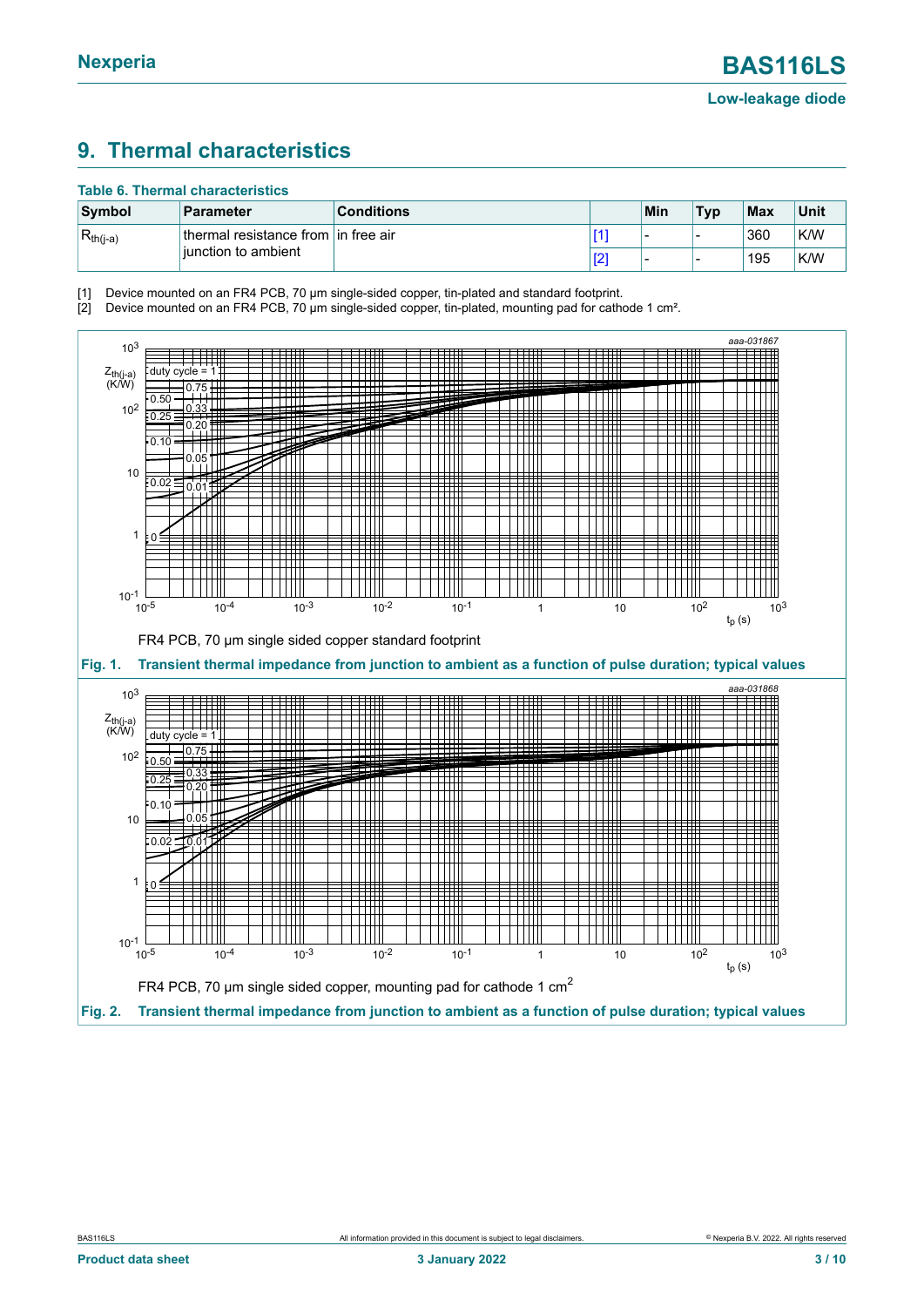### <span id="page-2-1"></span><span id="page-2-0"></span>**9. Thermal characteristics**

#### **Table 6. Thermal characteristics**

| Symbol        | Parameter                             | <b>Conditions</b> | Min | <b>Typ</b> | Max | Unit |
|---------------|---------------------------------------|-------------------|-----|------------|-----|------|
| $R_{th(j-a)}$ | ⊥thermal resistance from Lin free air |                   |     |            | 360 | K/W  |
|               | liunction to ambient                  |                   | -   | -          | 195 | K/W  |

[1] Device mounted on an FR4 PCB, 70 µm single-sided copper, tin-plated and standard footprint.

[2] Device mounted on an FR4 PCB, 70 µm single-sided copper, tin-plated, mounting pad for cathode 1 cm².

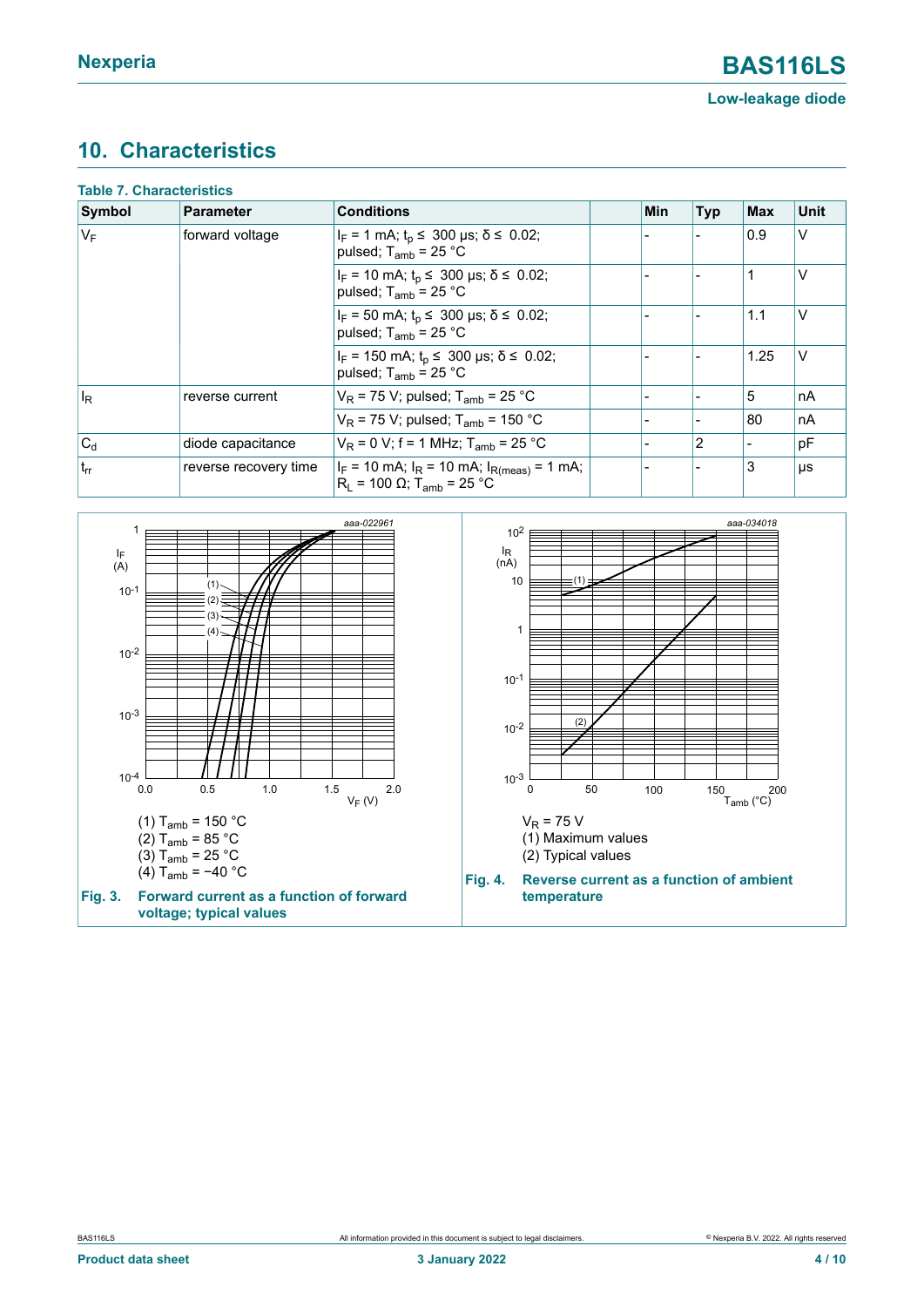### <span id="page-3-0"></span>**10. Characteristics**

| <b>Table 7. Characteristics</b> |                       |                                                                                                 |            |         |      |             |
|---------------------------------|-----------------------|-------------------------------------------------------------------------------------------------|------------|---------|------|-------------|
| Symbol                          | Parameter             | <b>Conditions</b>                                                                               | <b>Min</b> | $ $ Typ | Max  | <b>Unit</b> |
| $V_F$                           | forward voltage       | $I_F = 1$ mA; $t_p \le 300$ µs; $\delta \le 0.02$ ;<br>pulsed; $T_{amb}$ = 25 °C                |            |         | 0.9  | $\vee$      |
|                                 |                       | $I_F$ = 10 mA; $t_p$ ≤ 300 µs; $\delta$ ≤ 0.02;<br>pulsed; $T_{amb}$ = 25 °C                    |            |         |      | V           |
|                                 |                       | $I_F = 50$ mA; $t_p \le 300$ µs; $\delta \le 0.02$ ;<br>pulsed; $T_{amb}$ = 25 °C               |            |         | 1.1  | V           |
|                                 |                       | $I_F$ = 150 mA; $t_p$ ≤ 300 µs; $\delta$ ≤ 0.02;<br>pulsed; $T_{amb}$ = 25 °C                   |            |         | 1.25 | V           |
| $ I_R$                          | reverse current       | $V_R$ = 75 V; pulsed; T <sub>amb</sub> = 25 °C                                                  |            |         | 5    | nA          |
|                                 |                       | $V_R$ = 75 V; pulsed; T <sub>amb</sub> = 150 °C                                                 |            |         | 80   | nA          |
| $C_d$                           | diode capacitance     | $V_R = 0 V$ ; f = 1 MHz; T <sub>amb</sub> = 25 °C                                               |            | 12      |      | pF          |
| $ t_{rr} $                      | reverse recovery time | $ I_F = 10$ mA; $I_R = 10$ mA; $I_{R(meas)} = 1$ mA;<br>$R_1 = 100$ Ω; T <sub>amb</sub> = 25 °C |            |         | 3    | μs          |
|                                 |                       |                                                                                                 |            |         |      |             |

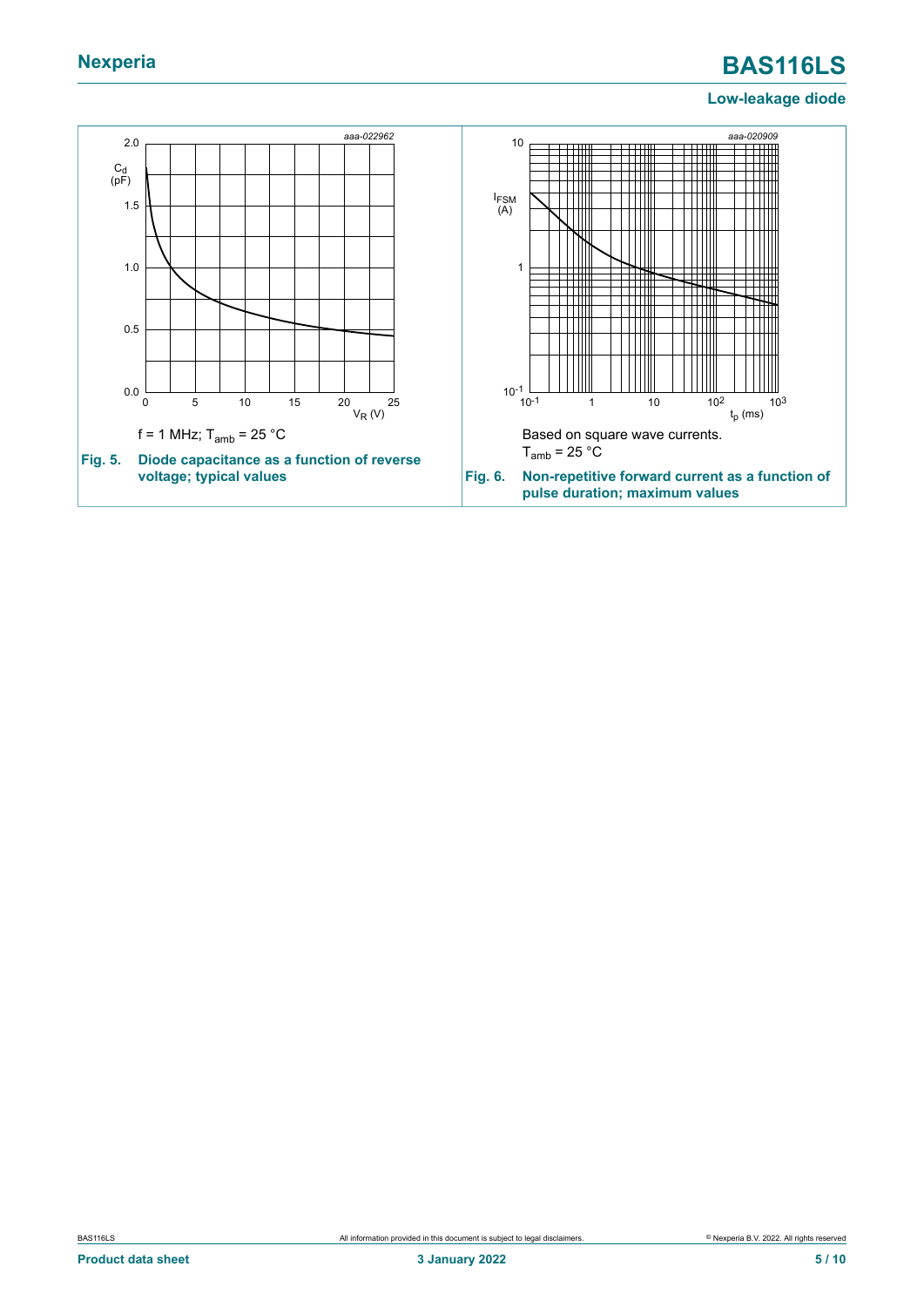## **Nexperia BAS116LS**

#### **Low-leakage diode**

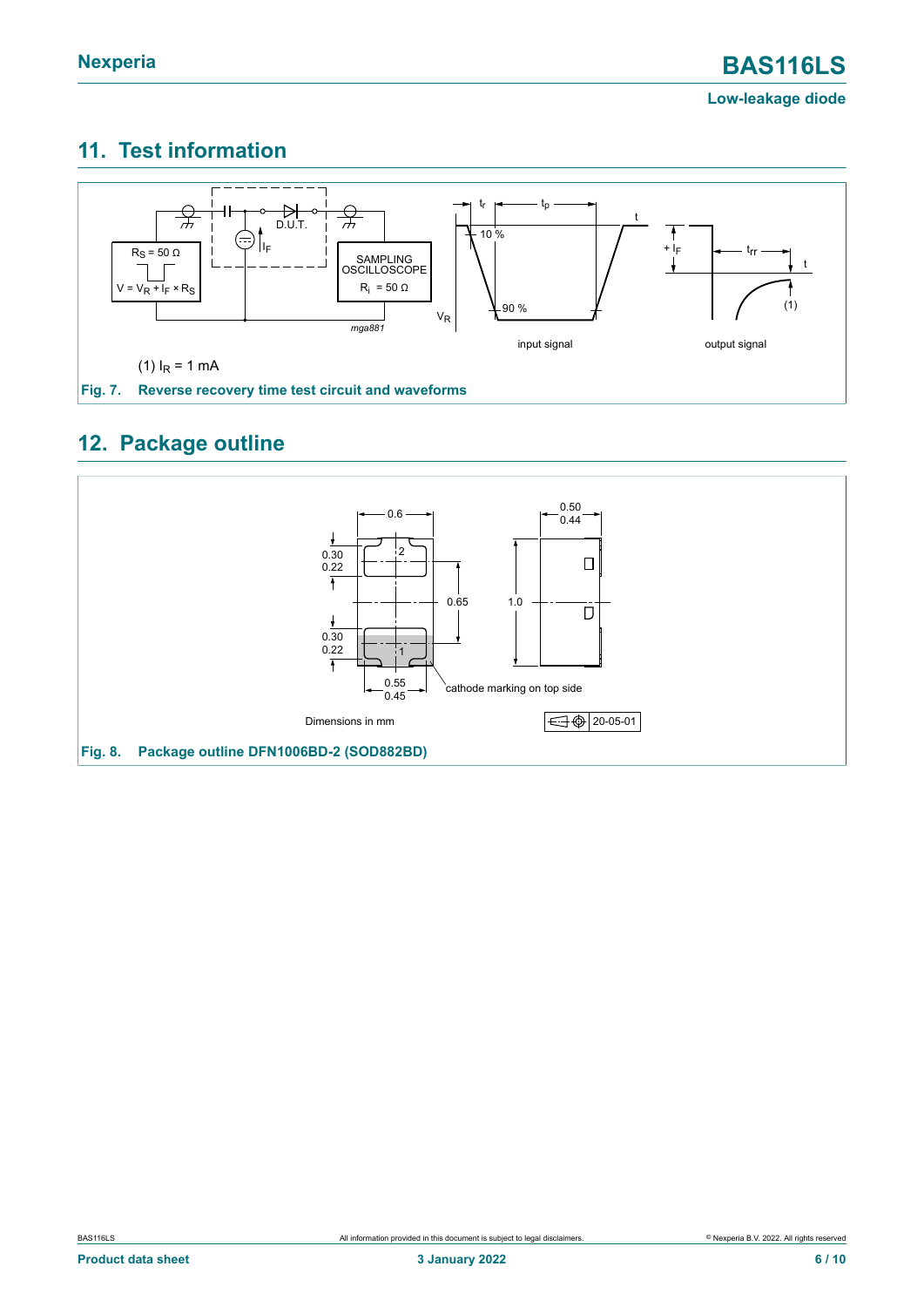### <span id="page-5-0"></span>**11. Test information**



#### <span id="page-5-1"></span>**12. Package outline**

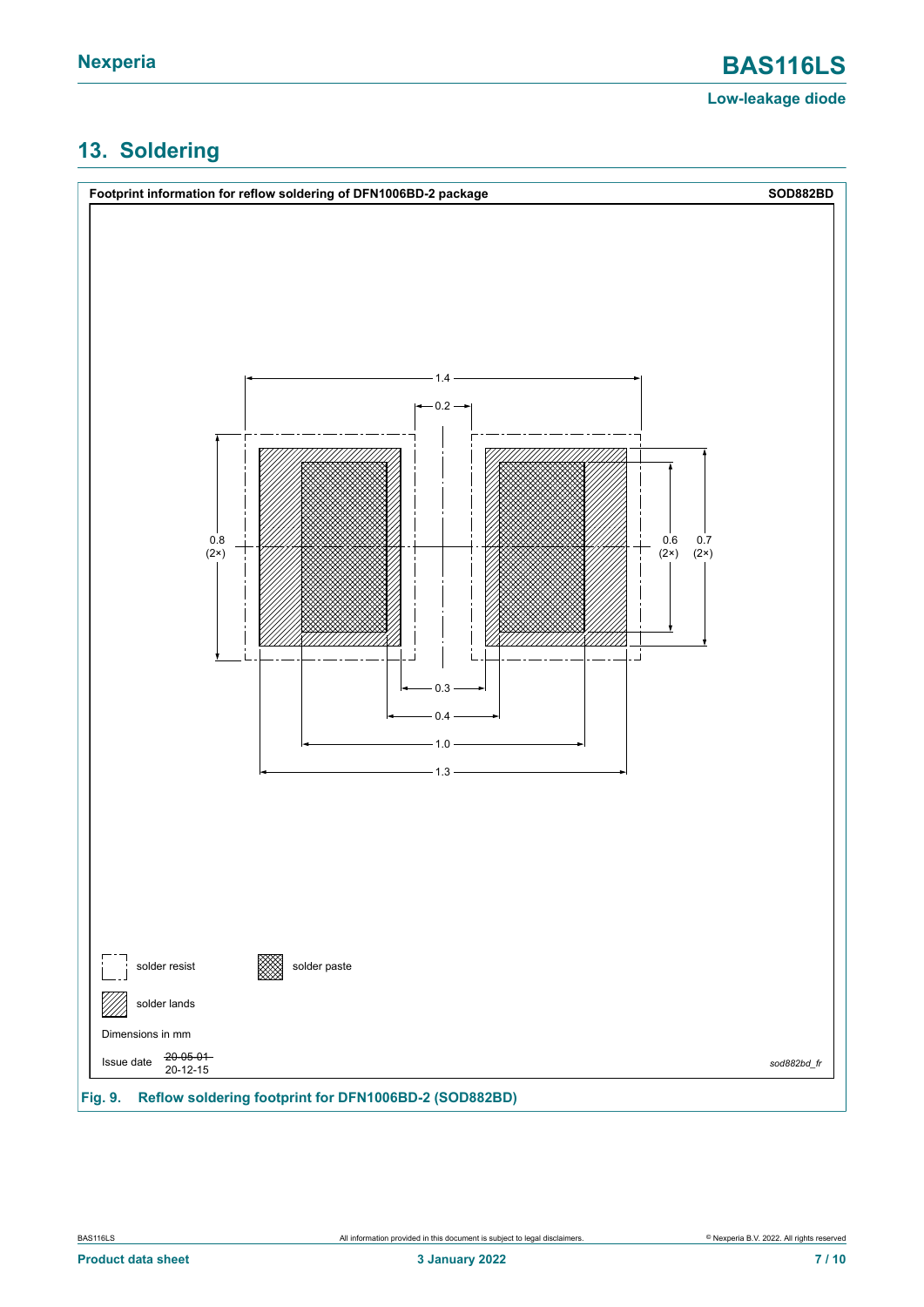### <span id="page-6-0"></span>**13. Soldering**

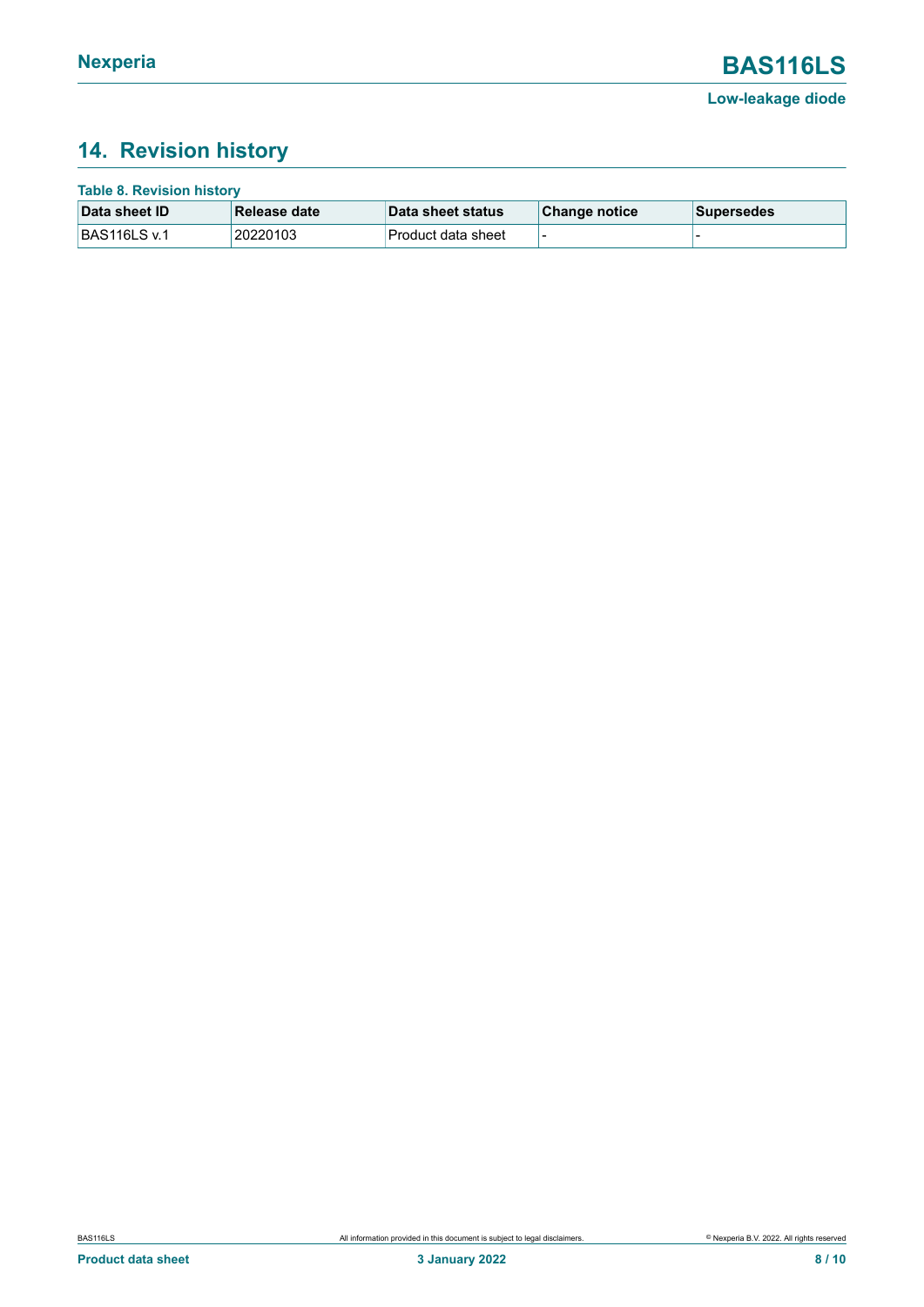### <span id="page-7-0"></span>**14. Revision history**

| <b>Table 8. Revision history</b> |               |                    |               |                   |  |  |
|----------------------------------|---------------|--------------------|---------------|-------------------|--|--|
| Data sheet ID                    | ∣Release date | ⊺Data sheet status | Change notice | <b>Supersedes</b> |  |  |
| <b>BAS116LS v.1</b>              | 20220103      | Product data sheet |               |                   |  |  |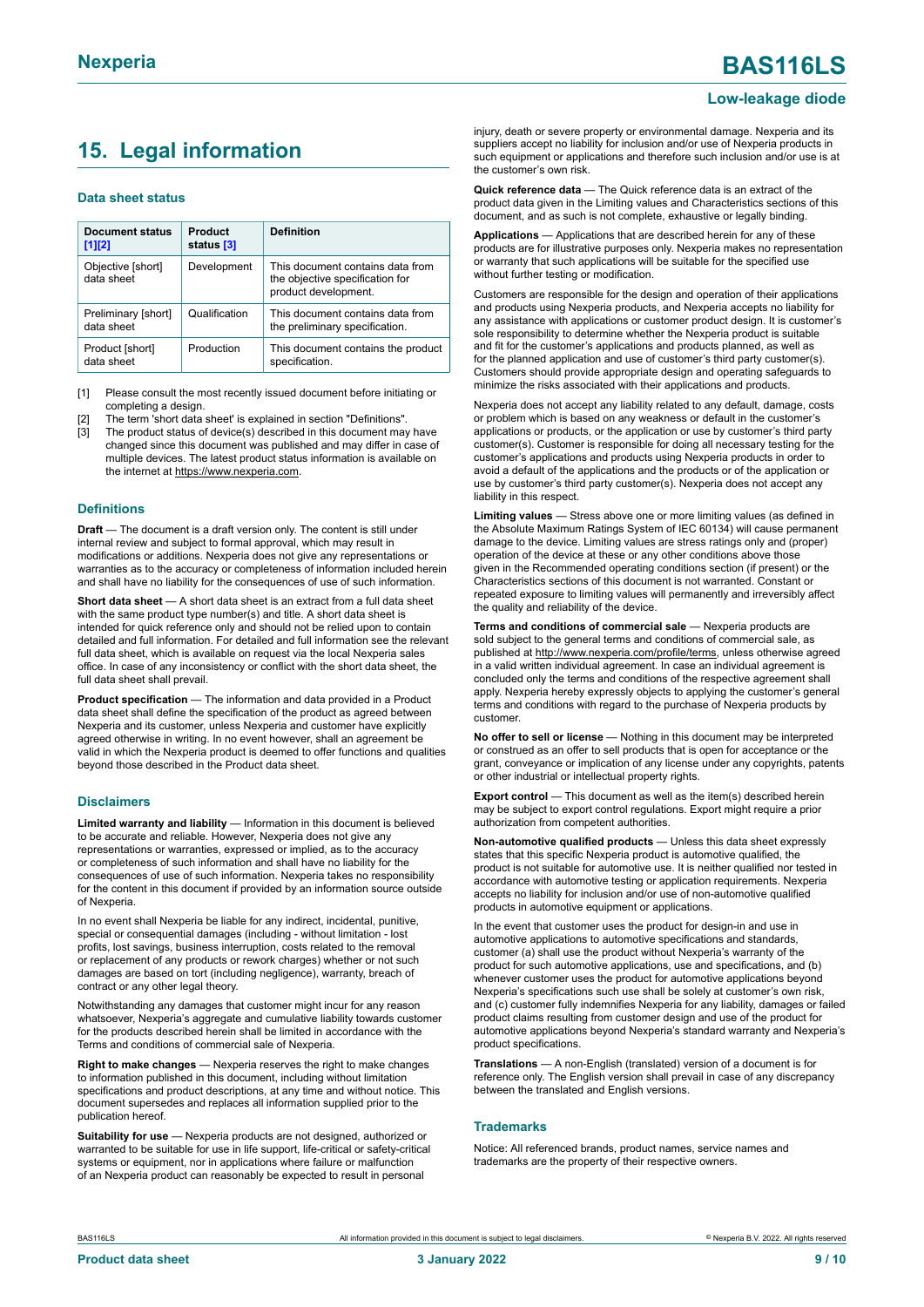### **Nexperia BAS116LS**

#### **Low-leakage diode**

### <span id="page-8-0"></span>**15. Legal information**

#### **Data sheet status**

| Document status<br>$[1]$ [2]      | Product<br>status [3] | <b>Definition</b>                                                                           |
|-----------------------------------|-----------------------|---------------------------------------------------------------------------------------------|
| Objective [short]<br>data sheet   | Development           | This document contains data from<br>the objective specification for<br>product development. |
| Preliminary [short]<br>data sheet | Qualification         | This document contains data from<br>the preliminary specification.                          |
| Product [short]<br>data sheet     | Production            | This document contains the product<br>specification.                                        |

[1] Please consult the most recently issued document before initiating or completing a design.

- The term 'short data sheet' is explained in section "Definitions".
- [3] The product status of device(s) described in this document may have changed since this document was published and may differ in case of multiple devices. The latest product status information is available on the internet at [https://www.nexperia.com.](https://www.nexperia.com)

#### **Definitions**

**Draft** — The document is a draft version only. The content is still under internal review and subject to formal approval, which may result in modifications or additions. Nexperia does not give any representations or warranties as to the accuracy or completeness of information included herein and shall have no liability for the consequences of use of such information.

**Short data sheet** — A short data sheet is an extract from a full data sheet with the same product type number(s) and title. A short data sheet is intended for quick reference only and should not be relied upon to contain detailed and full information. For detailed and full information see the relevant full data sheet, which is available on request via the local Nexperia sales office. In case of any inconsistency or conflict with the short data sheet, the full data sheet shall prevail.

**Product specification** — The information and data provided in a Product data sheet shall define the specification of the product as agreed between Nexperia and its customer, unless Nexperia and customer have explicitly agreed otherwise in writing. In no event however, shall an agreement be valid in which the Nexperia product is deemed to offer functions and qualities beyond those described in the Product data sheet.

#### **Disclaimers**

**Limited warranty and liability** — Information in this document is believed to be accurate and reliable. However, Nexperia does not give any representations or warranties, expressed or implied, as to the accuracy or completeness of such information and shall have no liability for the consequences of use of such information. Nexperia takes no responsibility for the content in this document if provided by an information source outside of Nexperia.

In no event shall Nexperia be liable for any indirect, incidental, punitive, special or consequential damages (including - without limitation - lost profits, lost savings, business interruption, costs related to the removal or replacement of any products or rework charges) whether or not such damages are based on tort (including negligence), warranty, breach of contract or any other legal theory.

Notwithstanding any damages that customer might incur for any reason whatsoever, Nexperia's aggregate and cumulative liability towards customer for the products described herein shall be limited in accordance with the Terms and conditions of commercial sale of Nexperia.

**Right to make changes** — Nexperia reserves the right to make changes to information published in this document, including without limitation specifications and product descriptions, at any time and without notice. This document supersedes and replaces all information supplied prior to the publication hereof

**Suitability for use** — Nexperia products are not designed, authorized or warranted to be suitable for use in life support, life-critical or safety-critical systems or equipment, nor in applications where failure or malfunction of an Nexperia product can reasonably be expected to result in personal

injury, death or severe property or environmental damage. Nexperia and its suppliers accept no liability for inclusion and/or use of Nexperia products in such equipment or applications and therefore such inclusion and/or use is at the customer's own risk.

**Quick reference data** — The Quick reference data is an extract of the product data given in the Limiting values and Characteristics sections of this document, and as such is not complete, exhaustive or legally binding.

**Applications** — Applications that are described herein for any of these products are for illustrative purposes only. Nexperia makes no representation or warranty that such applications will be suitable for the specified use without further testing or modification.

Customers are responsible for the design and operation of their applications and products using Nexperia products, and Nexperia accepts no liability for any assistance with applications or customer product design. It is customer's sole responsibility to determine whether the Nexperia product is suitable and fit for the customer's applications and products planned, as well as for the planned application and use of customer's third party customer(s). Customers should provide appropriate design and operating safeguards to minimize the risks associated with their applications and products.

Nexperia does not accept any liability related to any default, damage, costs or problem which is based on any weakness or default in the customer's applications or products, or the application or use by customer's third party customer(s). Customer is responsible for doing all necessary testing for the customer's applications and products using Nexperia products in order to avoid a default of the applications and the products or of the application or use by customer's third party customer(s). Nexperia does not accept any liability in this respect.

**Limiting values** — Stress above one or more limiting values (as defined in the Absolute Maximum Ratings System of IEC 60134) will cause permanent damage to the device. Limiting values are stress ratings only and (proper) operation of the device at these or any other conditions above those given in the Recommended operating conditions section (if present) or the Characteristics sections of this document is not warranted. Constant or repeated exposure to limiting values will permanently and irreversibly affect the quality and reliability of the device.

**Terms and conditions of commercial sale** — Nexperia products are sold subject to the general terms and conditions of commercial sale, as published at [http://www.nexperia.com/profile/terms,](http://www.nexperia.com/profile/terms) unless otherwise agreed in a valid written individual agreement. In case an individual agreement is concluded only the terms and conditions of the respective agreement shall apply. Nexperia hereby expressly objects to applying the customer's general terms and conditions with regard to the purchase of Nexperia products by customer.

**No offer to sell or license** — Nothing in this document may be interpreted or construed as an offer to sell products that is open for acceptance or the grant, conveyance or implication of any license under any copyrights, patents or other industrial or intellectual property rights.

**Export control** — This document as well as the item(s) described herein may be subject to export control regulations. Export might require a prior authorization from competent authorities.

**Non-automotive qualified products** — Unless this data sheet expressly states that this specific Nexperia product is automotive qualified, the product is not suitable for automotive use. It is neither qualified nor tested in accordance with automotive testing or application requirements. Nexperia accepts no liability for inclusion and/or use of non-automotive qualified products in automotive equipment or applications.

In the event that customer uses the product for design-in and use in automotive applications to automotive specifications and standards, customer (a) shall use the product without Nexperia's warranty of the product for such automotive applications, use and specifications, and (b) whenever customer uses the product for automotive applications beyond Nexperia's specifications such use shall be solely at customer's own risk, and (c) customer fully indemnifies Nexperia for any liability, damages or failed product claims resulting from customer design and use of the product for automotive applications beyond Nexperia's standard warranty and Nexperia's product specifications.

**Translations** — A non-English (translated) version of a document is for reference only. The English version shall prevail in case of any discrepancy between the translated and English versions.

#### **Trademarks**

Notice: All referenced brands, product names, service names and trademarks are the property of their respective owners.